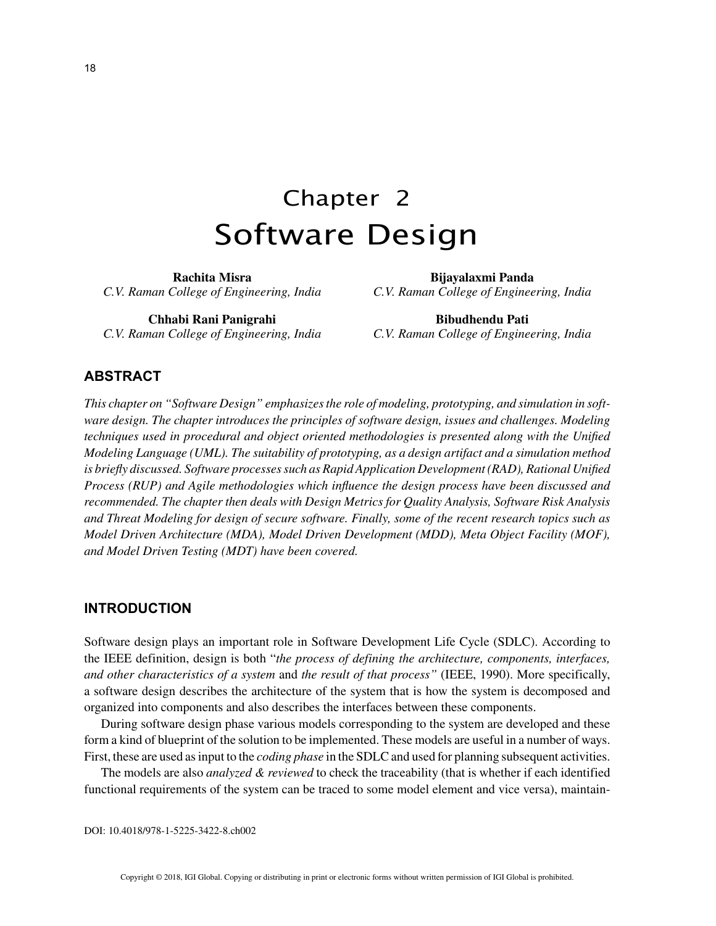# Chapter 2 Software Design

**Rachita Misra** *C.V. Raman College of Engineering, India*

**Chhabi Rani Panigrahi** *C.V. Raman College of Engineering, India*

**Bijayalaxmi Panda** *C.V. Raman College of Engineering, India*

**Bibudhendu Pati** *C.V. Raman College of Engineering, India*

## **ABSTRACT**

*This chapter on "Software Design" emphasizes the role of modeling, prototyping, and simulation in software design. The chapter introduces the principles of software design, issues and challenges. Modeling techniques used in procedural and object oriented methodologies is presented along with the Unified Modeling Language (UML). The suitability of prototyping, as a design artifact and a simulation method is briefly discussed. Software processes such as Rapid Application Development (RAD), Rational Unified Process (RUP) and Agile methodologies which influence the design process have been discussed and recommended. The chapter then deals with Design Metrics for Quality Analysis, Software Risk Analysis and Threat Modeling for design of secure software. Finally, some of the recent research topics such as Model Driven Architecture (MDA), Model Driven Development (MDD), Meta Object Facility (MOF), and Model Driven Testing (MDT) have been covered.*

#### **INTRODUCTION**

Software design plays an important role in Software Development Life Cycle (SDLC). According to the IEEE definition, design is both "*the process of defining the architecture, components, interfaces, and other characteristics of a system* and *the result of that process"* (IEEE, 1990). More specifically, a software design describes the architecture of the system that is how the system is decomposed and organized into components and also describes the interfaces between these components.

During software design phase various models corresponding to the system are developed and these form a kind of blueprint of the solution to be implemented. These models are useful in a number of ways. First, these are used as input to the *coding phase* in the SDLC and used for planning subsequent activities.

The models are also *analyzed & reviewed* to check the traceability (that is whether if each identified functional requirements of the system can be traced to some model element and vice versa), maintain-

DOI: 10.4018/978-1-5225-3422-8.ch002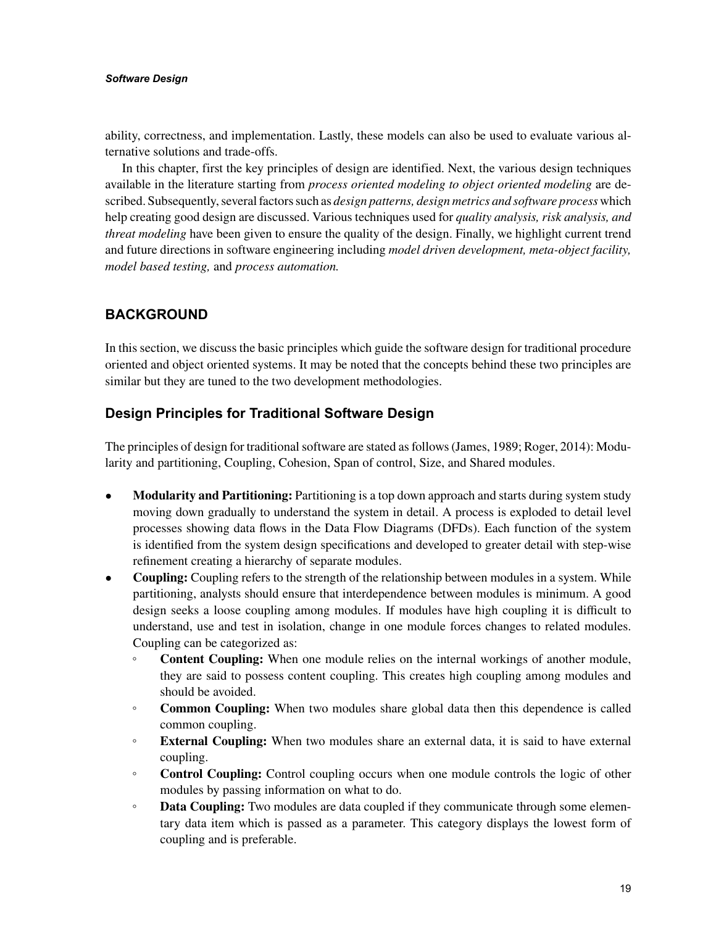#### *Software Design*

ability, correctness, and implementation. Lastly, these models can also be used to evaluate various alternative solutions and trade-offs.

In this chapter, first the key principles of design are identified. Next, the various design techniques available in the literature starting from *process oriented modeling to object oriented modeling* are described. Subsequently, several factors such as *design patterns, design metrics and software process* which help creating good design are discussed. Various techniques used for *quality analysis, risk analysis, and threat modeling* have been given to ensure the quality of the design. Finally, we highlight current trend and future directions in software engineering including *model driven development, meta-object facility, model based testing,* and *process automation.*

# **BACKGROUND**

In this section, we discuss the basic principles which guide the software design for traditional procedure oriented and object oriented systems. It may be noted that the concepts behind these two principles are similar but they are tuned to the two development methodologies.

# **Design Principles for Traditional Software Design**

The principles of design for traditional software are stated as follows (James, 1989; Roger, 2014): Modularity and partitioning, Coupling, Cohesion, Span of control, Size, and Shared modules.

- Modularity and Partitioning: Partitioning is a top down approach and starts during system study moving down gradually to understand the system in detail. A process is exploded to detail level processes showing data flows in the Data Flow Diagrams (DFDs). Each function of the system is identified from the system design specifications and developed to greater detail with step-wise refinement creating a hierarchy of separate modules.
- **Coupling:** Coupling refers to the strength of the relationship between modules in a system. While partitioning, analysts should ensure that interdependence between modules is minimum. A good design seeks a loose coupling among modules. If modules have high coupling it is difficult to understand, use and test in isolation, change in one module forces changes to related modules. Coupling can be categorized as:
	- **Content Coupling:** When one module relies on the internal workings of another module, they are said to possess content coupling. This creates high coupling among modules and should be avoided.
	- **Common Coupling:** When two modules share global data then this dependence is called common coupling.
	- **External Coupling:** When two modules share an external data, it is said to have external coupling.
	- **Control Coupling:** Control coupling occurs when one module controls the logic of other modules by passing information on what to do.
	- **Data Coupling:** Two modules are data coupled if they communicate through some elementary data item which is passed as a parameter. This category displays the lowest form of coupling and is preferable.